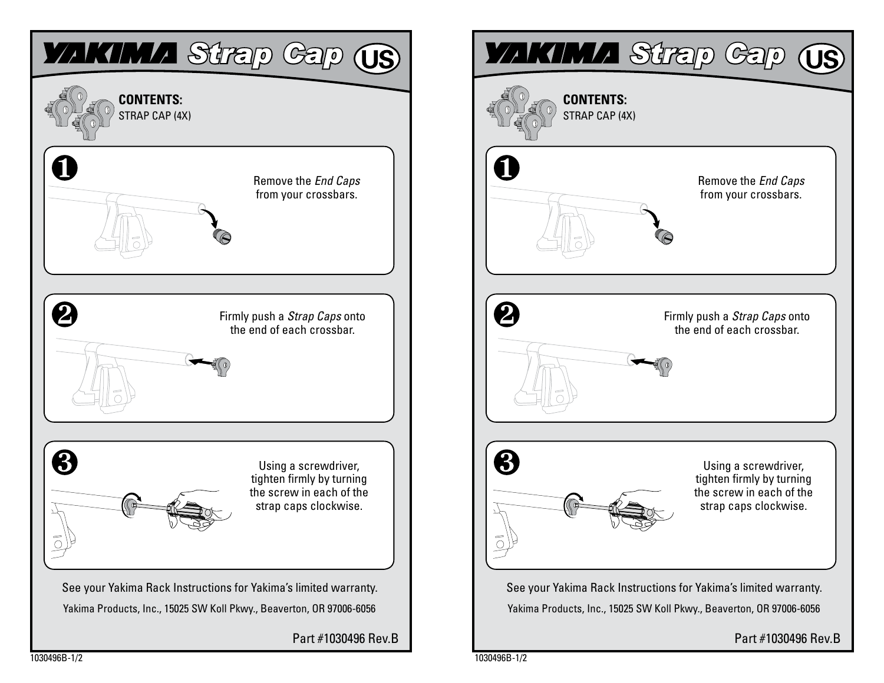

1030496B-1/2

Part #1030496 Rev.B